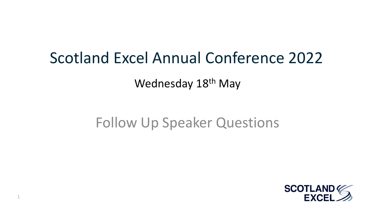### Scotland Excel Annual Conference 2022

Wednesday 18<sup>th</sup> May

### Follow Up Speaker Questions

1

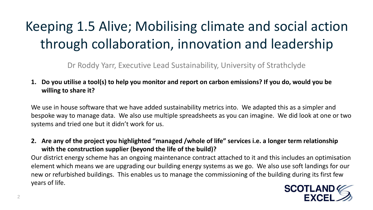## Keeping 1.5 Alive; Mobilising climate and social action through collaboration, innovation and leadership

Dr Roddy Yarr, Executive Lead Sustainability, University of Strathclyde

**1. Do you utilise a tool(s) to help you monitor and report on carbon emissions? If you do, would you be willing to share it?** 

We use in house software that we have added sustainability metrics into. We adapted this as a simpler and bespoke way to manage data. We also use multiple spreadsheets as you can imagine. We did look at one or two systems and tried one but it didn't work for us.

**2. Are any of the project you highlighted "managed /whole of life" services i.e. a longer term relationship with the construction supplier (beyond the life of the build)?** 

Our district energy scheme has an ongoing maintenance contract attached to it and this includes an optimisation element which means we are upgrading our building energy systems as we go. We also use soft landings for our new or refurbished buildings. This enables us to manage the commissioning of the building during its first few years of life.

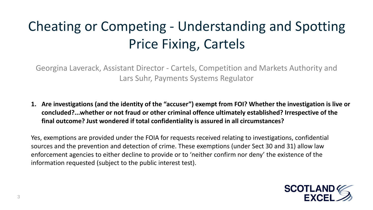# Cheating or Competing - Understanding and Spotting Price Fixing, Cartels

Georgina Laverack, Assistant Director - Cartels, Competition and Markets Authority and Lars Suhr, Payments Systems Regulator

**1. Are investigations (and the identity of the "accuser") exempt from FOI? Whether the investigation is live or concluded?...whether or not fraud or other criminal offence ultimately established? Irrespective of the final outcome? Just wondered if total confidentiality is assured in all circumstances?** 

Yes, exemptions are provided under the FOIA for requests received relating to investigations, confidential sources and the prevention and detection of crime. These exemptions (under Sect 30 and 31) allow law enforcement agencies to either decline to provide or to 'neither confirm nor deny' the existence of the information requested (subject to the public interest test).